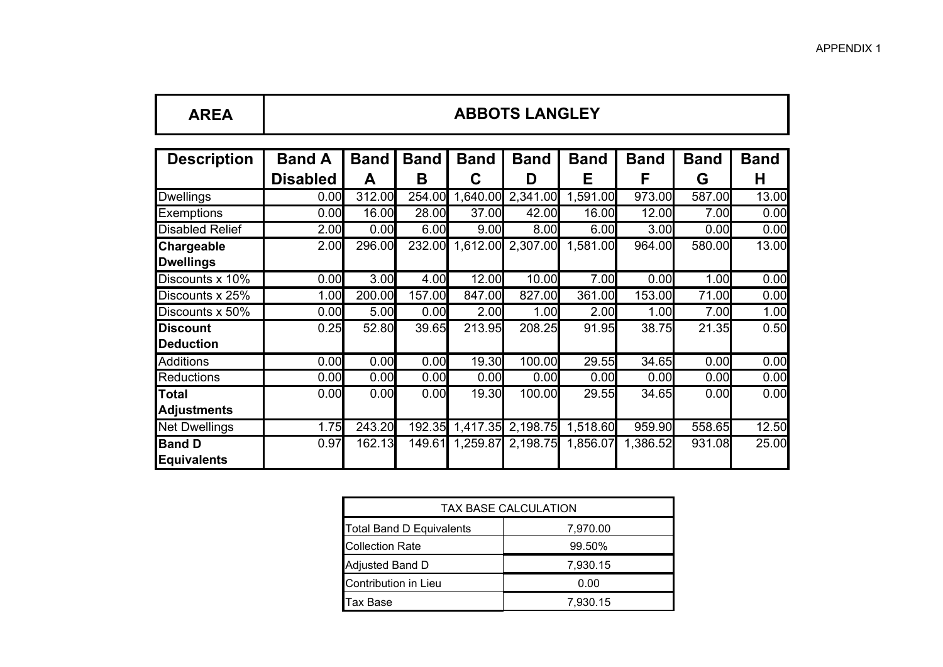Ħ.

| <b>AREA</b>                         | <b>ABBOTS LANGLEY</b>            |                  |                  |                  |                   |                       |                  |                  |                  |
|-------------------------------------|----------------------------------|------------------|------------------|------------------|-------------------|-----------------------|------------------|------------------|------------------|
| <b>Description</b>                  | <b>Band A</b><br><b>Disabled</b> | <b>Band</b><br>A | <b>Band</b><br>B | <b>Band</b><br>C | <b>Band</b><br>D  | <b>Band</b><br>Е      | <b>Band</b><br>F | <b>Band</b><br>G | <b>Band</b><br>н |
| <b>Dwellings</b>                    | 0.00                             | 312.00           | 254.00           |                  | 1,640.00 2,341.00 | $1,59\overline{1.00}$ | 973.00           | 587.00           | 13.00            |
| Exemptions                          | 0.00                             | 16.00            | 28.00            | 37.00            | 42.00             | 16.00                 | 12.00            | 7.00             | 0.00             |
| <b>Disabled Relief</b>              | 2.00                             | 0.00             | 6.00             | 9.00             | 8.00              | 6.00                  | 3.00             | 0.00             | 0.00             |
| Chargeable<br><b>Dwellings</b>      | 2.00                             | 296.00           |                  | 232.00 1,612.00  | 2,307.00          | 1,581.00              | 964.00           | 580.00           | 13.00            |
| Discounts x 10%                     | 0.00                             | 3.00             | 4.00             | 12.00            | 10.00             | 7.00                  | 0.00             | 1.00             | 0.00             |
| Discounts x 25%                     | 1.00                             | 200.00           | 157.00           | 847.00           | 827.00            | 361.00                | 153.00           | 71.00            | 0.00             |
| Discounts x 50%                     | 0.00                             | 5.00             | 0.00             | 2.00             | 1.00              | 2.00                  | 1.00             | 7.00             | 1.00             |
| <b>Discount</b><br><b>Deduction</b> | 0.25                             | 52.80            | 39.65            | 213.95           | 208.25            | 91.95                 | 38.75            | 21.35            | 0.50             |
| <b>Additions</b>                    | 0.00                             | 0.00             | 0.00             | 19.30            | 100.00            | 29.55                 | 34.65            | 0.00             | 0.00             |
| <b>Reductions</b>                   | 0.00                             | 0.00             | 0.00             | 0.00             | 0.00              | 0.00                  | 0.00             | 0.00             | 0.00             |
| <b>Total</b><br><b>Adjustments</b>  | 0.00                             | 0.00             | 0.00             | 19.30            | 100.00            | 29.55                 | 34.65            | 0.00             | 0.00             |
| <b>Net Dwellings</b>                | 1.75                             | 243.20           | 192.35           |                  | 1,417.35 2,198.75 | 1,518.60              | 959.90           | 558.65           | 12.50            |
| <b>Band D</b><br><b>Equivalents</b> | 0.97                             | 162.13           | 149.61           | 1,259.87         | 2,198.75          | 1,856.07              | 1,386.52         | 931.08           | 25.00            |

 $\mathbf{r}$ 

Ŧ

| TAX BASE CALCULATION            |          |  |  |  |  |  |
|---------------------------------|----------|--|--|--|--|--|
| <b>Total Band D Equivalents</b> | 7,970.00 |  |  |  |  |  |
| <b>Collection Rate</b>          | 99.50%   |  |  |  |  |  |
| Adjusted Band D                 | 7,930.15 |  |  |  |  |  |
| Contribution in Lieu            | 0.00     |  |  |  |  |  |
| Tax Base                        | 7,930.15 |  |  |  |  |  |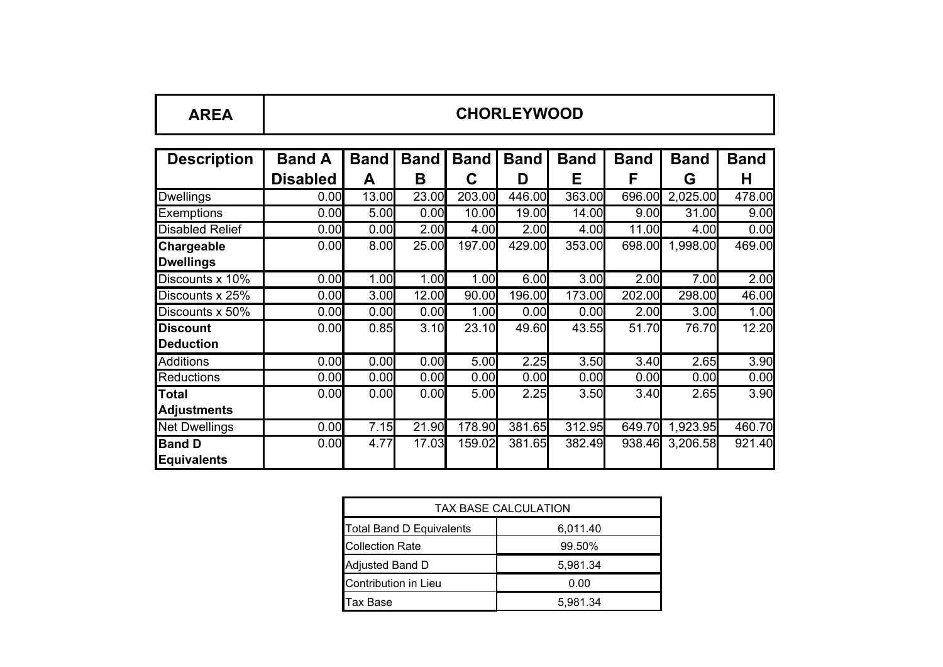| <b>AREA</b>                         | <b>CHORLEYWOOD</b>               |                  |                  |                  |                  |                  |                  |                  |                  |
|-------------------------------------|----------------------------------|------------------|------------------|------------------|------------------|------------------|------------------|------------------|------------------|
| <b>Description</b>                  | <b>Band A</b><br><b>Disabled</b> | <b>Band</b><br>A | <b>Band</b><br>B | <b>Band</b><br>C | <b>Band</b><br>D | <b>Band</b><br>Е | <b>Band</b><br>F | <b>Band</b><br>G | <b>Band</b><br>н |
| <b>Dwellings</b>                    | 0.00                             | 13.00            | 23.00            | 203.00           | 446.00           | 363.00           | 696.00           | 2,025.00         | 478.00           |
| Exemptions                          | 0.00                             | 5.00             | 0.00             | 10.00            | 19.00            | 14.00            | 9.00             | 31.00            | 9.00             |
| <b>Disabled Relief</b>              | 0.00                             | 0.00             | 2.00             | 4.00             | 2.00             | 4.00             | 11.00            | 4.00             | 0.00             |
| Chargeable<br><b>Dwellings</b>      | 0.00                             | 8.00             | 25.00            | 197.00           | 429.00           | 353.00           | 698.00           | 1,998.00         | 469.00           |
| Discounts x 10%                     | 0.00                             | 1.00             | 1.00             | 1.00             | 6.00             | 3.00             | 2.00             | 7.00             | 2.00             |
| Discounts x 25%                     | 0.00                             | 3.00             | 12.00            | 90.00            | 196.00           | 173.00           | 202.00           | 298.00           | 46.00            |
| Discounts x 50%                     | 0.00                             | 0.00             | 0.00             | 1.00             | 0.00             | 0.00             | 2.00             | 3.00             | 1.00             |
| <b>Discount</b><br><b>Deduction</b> | 0.00                             | 0.85             | 3.10             | 23.10            | 49.60            | 43.55            | 51.70            | 76.70            | 12.20            |
| <b>Additions</b>                    | 0.00                             | 0.00             | 0.00             | 5.00             | 2.25             | 3.50             | 3.40             | 2.65             | 3.90             |
| <b>Reductions</b>                   | 0.00                             | 0.00             | 0.00             | 0.00             | 0.00             | 0.00             | 0.00             | 0.00             | 0.00             |
| Total<br>Adjustments                | 0.00                             | 0.00             | 0.00             | 5.00             | 2.25             | 3.50             | 3.40             | 2.65             | 3.90             |
| <b>Net Dwellings</b>                | 0.00                             | 7.15             | 21.90            | 178.90           | 381.65           | 312.95           | 649.70           | 1,923.95         | 460.70           |
| <b>Band D</b><br>Equivalents        | 0.00                             | 4.77             | 17.03            | 159.02           | 381.65           | 382.49           | 938.46           | 3,206.58         | 921.40           |

 $\mathbf{r}$ 

٦

| <b>TAX BASE CALCULATION</b>     |          |  |  |  |  |  |
|---------------------------------|----------|--|--|--|--|--|
| <b>Total Band D Equivalents</b> | 6,011.40 |  |  |  |  |  |
| <b>Collection Rate</b>          | 99.50%   |  |  |  |  |  |
| Adjusted Band D                 | 5,981.34 |  |  |  |  |  |
| Contribution in Lieu            | 0.00     |  |  |  |  |  |
| Tax Base                        | 5,981.34 |  |  |  |  |  |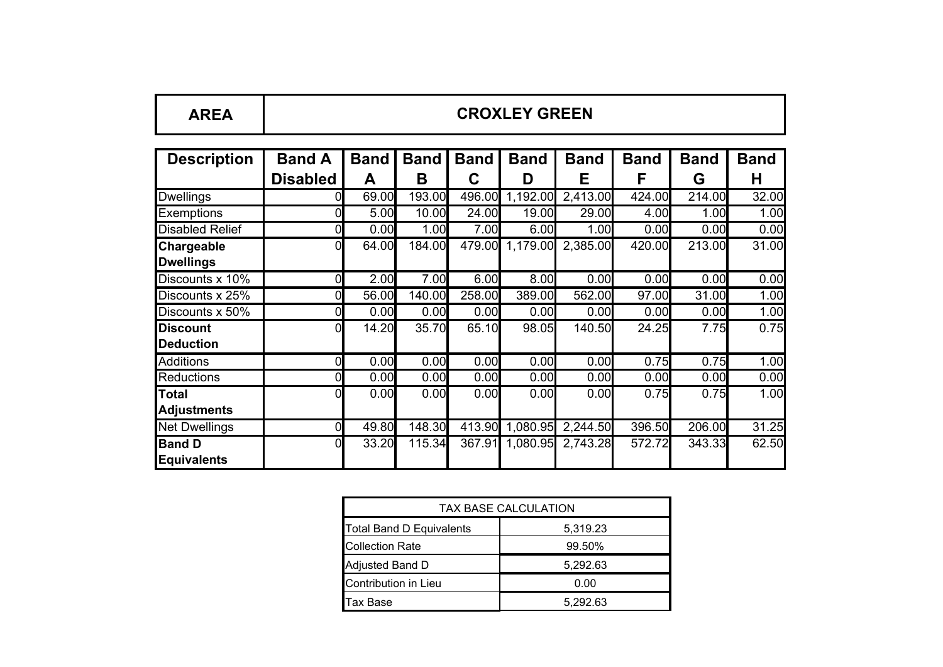| <b>AREA</b> | <b>CROXLEY GREEN</b> |
|-------------|----------------------|
|             |                      |

| <b>Description</b>     | <b>Band A</b>   | <b>Band</b> | <b>Band</b> | <b>Band</b> | <b>Band</b> | <b>Band</b> | <b>Band</b> | <b>Band</b> | <b>Band</b> |
|------------------------|-----------------|-------------|-------------|-------------|-------------|-------------|-------------|-------------|-------------|
|                        | <b>Disabled</b> | Α           | В           | С           | D           | Е           | F           | G           | н           |
| <b>Dwellings</b>       |                 | 69.00       | 193.00      | 496.00      | 1,192.00    | 2,413.00    | 424.00      | 214.00      | 32.00       |
| <b>Exemptions</b>      |                 | 5.00        | 10.00       | 24.00       | 19.00       | 29.00       | 4.00        | 1.00        | 1.00        |
| <b>Disabled Relief</b> |                 | 0.00        | 1.00        | 7.00        | 6.00        | 1.00        | 0.00        | 0.00        | 0.00        |
| <b>Chargeable</b>      | 0               | 64.00       | 184.00      | 479.00      | 1,179.00    | 2,385.00    | 420.00      | 213.00      | 31.00       |
| <b>Dwellings</b>       |                 |             |             |             |             |             |             |             |             |
| Discounts x 10%        | 0               | 2.00        | 7.00        | 6.00        | 8.00        | 0.00        | 0.00        | 0.00        | 0.00        |
| Discounts x 25%        | 0               | 56.00       | 140.00      | 258.00      | 389.00      | 562.00      | 97.00       | 31.00       | 1.00        |
| Discounts x 50%        | O               | 0.00        | 0.00        | 0.00        | 0.00        | 0.00        | 0.00        | 0.00        | 1.00        |
| <b>Discount</b>        | 0               | 14.20       | 35.70       | 65.10       | 98.05       | 140.50      | 24.25       | 7.75        | 0.75        |
| <b>Deduction</b>       |                 |             |             |             |             |             |             |             |             |
| <b>Additions</b>       | 0               | 0.00        | 0.00        | 0.00        | 0.00        | 0.00        | 0.75        | 0.75        | 1.00        |
| <b>Reductions</b>      | O               | 0.00        | 0.00        | 0.00        | 0.00        | 0.00        | 0.00        | 0.00        | 0.00        |
| <b>Total</b>           |                 | 0.00        | 0.00        | 0.00        | 0.00        | 0.00        | 0.75        | 0.75        | 1.00        |
| <b>Adjustments</b>     |                 |             |             |             |             |             |             |             |             |
| <b>Net Dwellings</b>   | $\Omega$        | 49.80       | 148.30      | 413.90      | 1,080.95    | 2,244.50    | 396.50      | 206.00      | 31.25       |
| <b>Band D</b>          |                 | 33.20       | 115.34      | 367.91      | 1,080.95    | 2,743.28    | 572.72      | 343.33      | 62.50       |
| Equivalents            |                 |             |             |             |             |             |             |             |             |

| TAX BASE CALCULATION            |          |  |  |  |  |  |
|---------------------------------|----------|--|--|--|--|--|
| <b>Total Band D Equivalents</b> | 5,319.23 |  |  |  |  |  |
| <b>Collection Rate</b>          | 99.50%   |  |  |  |  |  |
| Adjusted Band D                 | 5,292.63 |  |  |  |  |  |
| Contribution in Lieu            | 0.00     |  |  |  |  |  |
| <b>Tax Base</b>                 | 5.292.63 |  |  |  |  |  |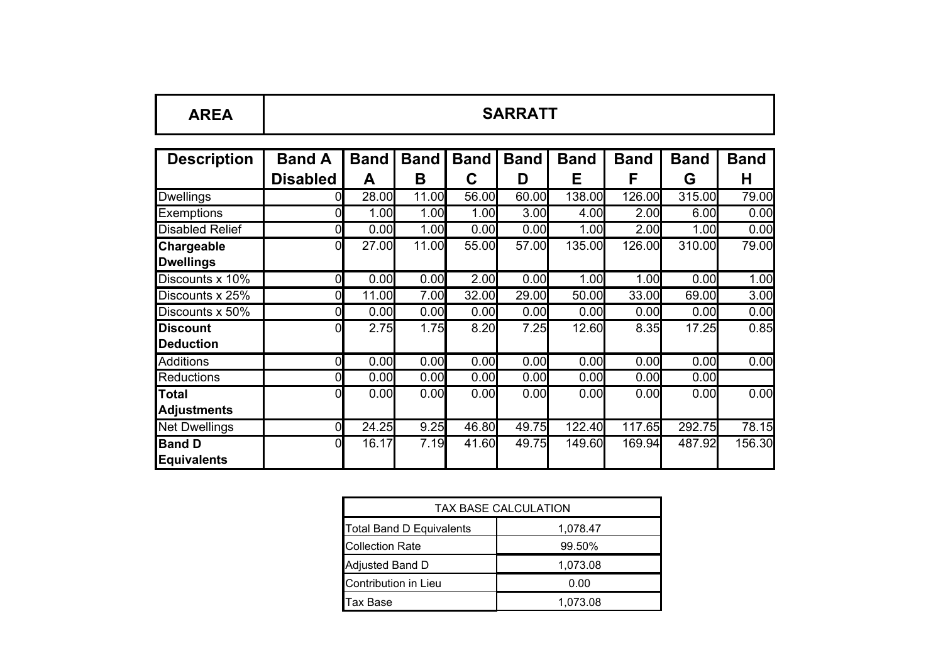| <b>AREA</b>                         | <b>SARRATT</b>                   |                  |                  |                  |                  |                  |                  |                  |                  |
|-------------------------------------|----------------------------------|------------------|------------------|------------------|------------------|------------------|------------------|------------------|------------------|
| <b>Description</b>                  | <b>Band A</b><br><b>Disabled</b> | <b>Band</b><br>A | <b>Band</b><br>B | <b>Band</b><br>C | <b>Band</b><br>D | <b>Band</b><br>Е | <b>Band</b><br>F | <b>Band</b><br>G | <b>Band</b><br>н |
| <b>Dwellings</b>                    |                                  | 28.00            | 11.00            | 56.00            | 60.00            | 138.00           | 126.00           | 315.00           | 79.00            |
| <b>Exemptions</b>                   | 0                                | 1.00             | 1.00             | 1.00             | 3.00             | 4.00             | 2.00             | 6.00             | 0.00             |
| <b>Disabled Relief</b>              | 01                               | 0.00             | 1.00             | 0.00             | 0.00             | 1.00             | 2.00             | 1.00             | 0.00             |
| Chargeable<br><b>Dwellings</b>      | 0                                | 27.00            | 11.00            | 55.00            | 57.00            | 135.00           | 126.00           | 310.00           | 79.00            |
| Discounts x 10%                     | 01                               | 0.00             | 0.00             | 2.00             | 0.00             | 1.00             | 1.00             | 0.00             | 1.00             |
| Discounts x 25%                     | 01                               | 11.00            | 7.00             | 32.00            | 29.00            | 50.00            | 33.00            | 69.00            | 3.00             |
| Discounts x 50%                     | 0                                | 0.00             | 0.00             | 0.00             | 0.00             | 0.00             | 0.00             | 0.00             | 0.00             |
| <b>Discount</b><br><b>Deduction</b> | 0                                | 2.75             | 1.75             | 8.20             | 7.25             | 12.60            | 8.35             | 17.25            | 0.85             |
| <b>Additions</b>                    | 0                                | 0.00             | 0.00             | 0.00             | 0.00             | 0.00             | 0.00             | 0.00             | 0.00             |
| <b>Reductions</b>                   | 01                               | 0.00             | 0.00             | 0.00             | 0.00             | 0.00             | 0.00             | 0.00             |                  |
| <b>Total</b><br><b>Adjustments</b>  | 01                               | 0.00             | 0.00             | 0.00             | 0.00             | 0.00             | 0.00             | 0.00             | 0.00             |
| <b>Net Dwellings</b>                | 01                               | 24.25            | 9.25             | 46.80            | 49.75            | 122.40           | 117.65           | 292.75           | 78.15            |
| <b>Band D</b><br><b>Equivalents</b> | 0                                | 16.17            | 7.19             | 41.60            | 49.75            | 149.60           | 169.94           | 487.92           | 156.30           |

| <b>TAX BASE CALCULATION</b>     |          |  |  |  |  |  |
|---------------------------------|----------|--|--|--|--|--|
| <b>Total Band D Equivalents</b> | 1,078.47 |  |  |  |  |  |
| <b>Collection Rate</b>          | 99.50%   |  |  |  |  |  |
| Adjusted Band D                 | 1,073.08 |  |  |  |  |  |
| Contribution in Lieu            | 0.00     |  |  |  |  |  |
| Tax Base                        | 1,073.08 |  |  |  |  |  |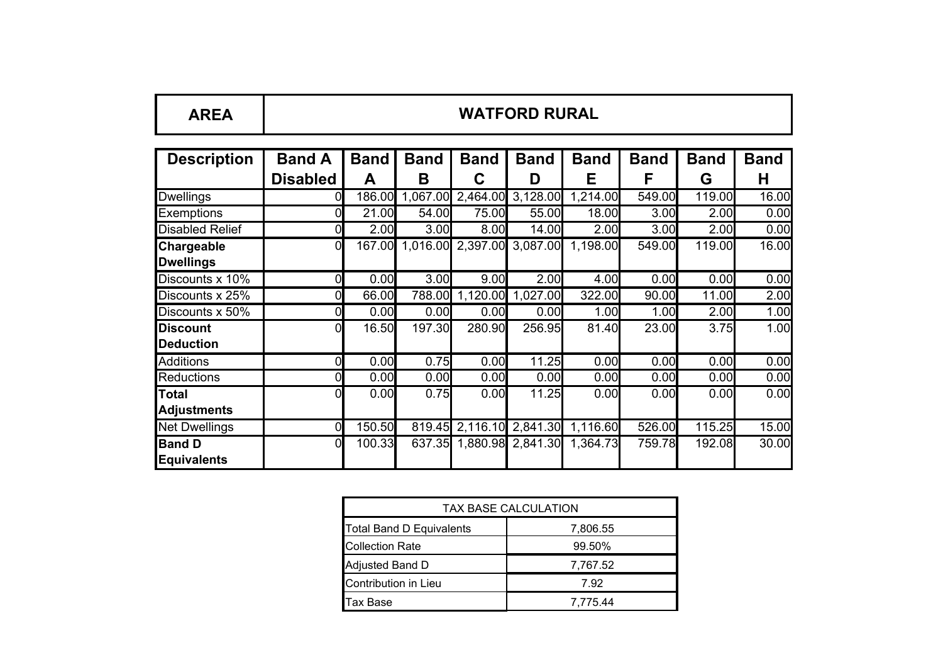| <b>WATFORD RURAL</b><br><b>AREA</b> |
|-------------------------------------|
|-------------------------------------|

| <b>Description</b>     | <b>Band A</b>   | <b>Band</b> | <b>Band</b> | <b>Band</b> | <b>Band</b>                       | <b>Band</b> | <b>Band</b> | <b>Band</b> | <b>Band</b> |
|------------------------|-----------------|-------------|-------------|-------------|-----------------------------------|-------------|-------------|-------------|-------------|
|                        | <b>Disabled</b> | A           | В           | C           | D                                 | E           | F           | G           | н           |
| <b>Dwellings</b>       | 01              | 186.00      | 1,067.00    |             | 2,464.00 3,128.00                 | 1,214.00    | 549.00      | 119.00      | 16.00       |
| <b>Exemptions</b>      | 01              | 21.00       | 54.00       | 75.00       | 55.00                             | 18.00       | 3.00        | 2.00        | 0.00        |
| <b>Disabled Relief</b> | 01              | 2.00        | 3.00        | 8.00        | 14.00                             | 2.00        | 3.00        | 2.00        | 0.00        |
| <b>Chargeable</b>      | 0               |             |             |             | 167.00 1,016.00 2,397.00 3,087.00 | 1,198.00    | 549.00      | 119.00      | 16.00       |
| <b>Dwellings</b>       |                 |             |             |             |                                   |             |             |             |             |
| Discounts x 10%        | 0               | 0.00        | 3.00        | 9.00        | 2.00                              | 4.00        | 0.00        | 0.00        | 0.00        |
| Discounts x 25%        | 0               | 66.00       | 788.00      | 1,120.00    | 1,027.00                          | 322.00      | 90.00       | 11.00       | 2.00        |
| Discounts x 50%        | 0               | 0.00        | 0.00        | 0.00        | 0.00                              | 1.00        | 1.00        | 2.00        | 1.00        |
| <b>Discount</b>        | 01              | 16.50       | 197.30      | 280.90      | 256.95                            | 81.40       | 23.00       | 3.75        | 1.00        |
| <b>Deduction</b>       |                 |             |             |             |                                   |             |             |             |             |
| <b>Additions</b>       | 0               | 0.00        | 0.75        | 0.00        | 11.25                             | 0.00        | 0.00        | 0.00        | 0.00        |
| <b>Reductions</b>      | 0               | 0.00        | 0.00        | 0.00        | 0.00                              | 0.00        | 0.00        | 0.00        | 0.00        |
| Total                  | 0               | 0.00        | 0.75        | 0.00        | 11.25                             | 0.00        | 0.00        | 0.00        | 0.00        |
| <b>Adjustments</b>     |                 |             |             |             |                                   |             |             |             |             |
| <b>Net Dwellings</b>   | 01              | 150.50      |             |             | 819.45 2,116.10 2,841.30          | 1,116.60    | 526.00      | 115.25      | 15.00       |
| <b>Band D</b>          | 0               | 100.33      | 637.35      |             | 1,880.98 2,841.30                 | 1,364.73    | 759.78      | 192.08      | 30.00       |
| Equivalents            |                 |             |             |             |                                   |             |             |             |             |

| TAX BASE CALCULATION            |          |  |  |  |  |  |
|---------------------------------|----------|--|--|--|--|--|
| <b>Total Band D Equivalents</b> | 7,806.55 |  |  |  |  |  |
| <b>Collection Rate</b>          | 99.50%   |  |  |  |  |  |
| Adjusted Band D                 | 7,767.52 |  |  |  |  |  |
| Contribution in Lieu            | 7.92     |  |  |  |  |  |
| Tax Base                        | 7,775.44 |  |  |  |  |  |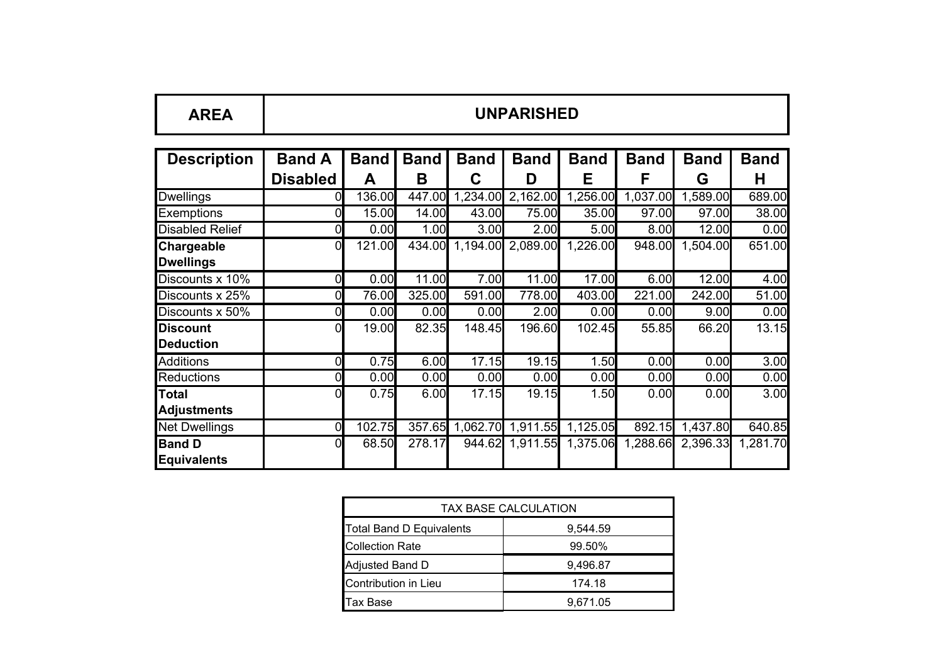| DC.<br>ТСА<br>AГ | <b>UNPARISHED</b> |
|------------------|-------------------|
|------------------|-------------------|

| <b>Description</b>     | <b>Band A</b>   | <b>Band</b> | <b>Band</b> | <b>Band</b> | <b>Band</b> | <b>Band</b> | <b>Band</b> | <b>Band</b> | <b>Band</b> |
|------------------------|-----------------|-------------|-------------|-------------|-------------|-------------|-------------|-------------|-------------|
|                        | <b>Disabled</b> | Α           | B           | С           | D           | Е           | F           | G           | Н           |
| <b>Dwellings</b>       |                 | 136.00      | 447.00      | 1,234.00    | 2,162.00    | 1,256.00    | 1,037.00    | 1,589.00    | 689.00      |
| <b>Exemptions</b>      |                 | 15.00       | 14.00       | 43.00       | 75.00       | 35.00       | 97.00       | 97.00       | 38.00       |
| <b>Disabled Relief</b> |                 | 0.00        | 1.00        | 3.00        | 2.00        | 5.00        | 8.00        | 12.00       | 0.00        |
| <b>Chargeable</b>      | 0               | 121.00      | 434.00      | 1,194.00    | 2,089.00    | 1,226.00    | 948.00      | 1,504.00    | 651.00      |
| <b>Dwellings</b>       |                 |             |             |             |             |             |             |             |             |
| Discounts x 10%        | 0               | 0.00        | 11.00       | 7.00        | 11.00       | 17.00       | 6.00        | 12.00       | 4.00        |
| Discounts x 25%        |                 | 76.00       | 325.00      | 591.00      | 778.00      | 403.00      | 221.00      | 242.00      | 51.00       |
| Discounts x 50%        |                 | 0.00        | 0.00        | 0.00        | 2.00        | 0.00        | 0.00        | 9.00        | 0.00        |
| <b>Discount</b>        | 0               | 19.00       | 82.35       | 148.45      | 196.60      | 102.45      | 55.85       | 66.20       | 13.15       |
| <b>Deduction</b>       |                 |             |             |             |             |             |             |             |             |
| <b>Additions</b>       | 0               | 0.75        | 6.00        | 17.15       | 19.15       | 1.50        | 0.00        | 0.00        | 3.00        |
| <b>Reductions</b>      | 0               | 0.00        | 0.00        | 0.00        | 0.00        | 0.00        | 0.00        | 0.00        | 0.00        |
| <b>Total</b>           |                 | 0.75        | 6.00        | 17.15       | 19.15       | 1.50        | 0.00        | 0.00        | 3.00        |
| <b>Adjustments</b>     |                 |             |             |             |             |             |             |             |             |
| <b>Net Dwellings</b>   | 0               | 102.75      | 357.65      | 1,062.70    | 1,911.55    | 1,125.05    | 892.15      | 1,437.80    | 640.85      |
| <b>Band D</b>          |                 | 68.50       | 278.17      | 944.62      | 1,911.55    | 1,375.06    | 1,288.66    | 2,396.33    | 1,281.70    |
| Equivalents            |                 |             |             |             |             |             |             |             |             |

| TAX BASE CALCULATION            |          |  |  |  |  |
|---------------------------------|----------|--|--|--|--|
| <b>Total Band D Equivalents</b> | 9,544.59 |  |  |  |  |
| <b>Collection Rate</b>          | 99.50%   |  |  |  |  |
| Adjusted Band D                 | 9,496.87 |  |  |  |  |
| Contribution in Lieu            | 174.18   |  |  |  |  |
| Tax Base                        | 9,671.05 |  |  |  |  |